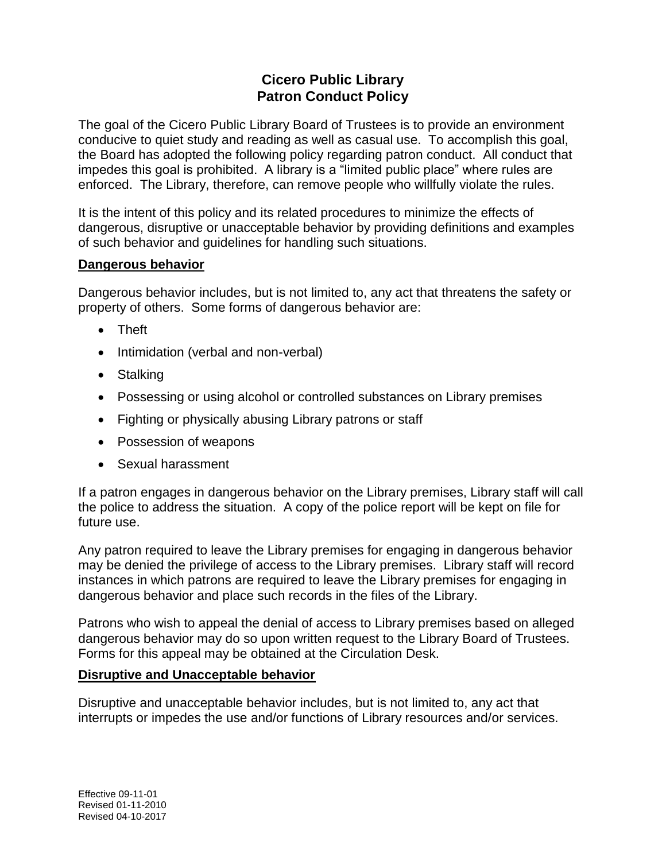## **Cicero Public Library Patron Conduct Policy**

The goal of the Cicero Public Library Board of Trustees is to provide an environment conducive to quiet study and reading as well as casual use. To accomplish this goal, the Board has adopted the following policy regarding patron conduct. All conduct that impedes this goal is prohibited. A library is a "limited public place" where rules are enforced. The Library, therefore, can remove people who willfully violate the rules.

It is the intent of this policy and its related procedures to minimize the effects of dangerous, disruptive or unacceptable behavior by providing definitions and examples of such behavior and guidelines for handling such situations.

## **Dangerous behavior**

Dangerous behavior includes, but is not limited to, any act that threatens the safety or property of others. Some forms of dangerous behavior are:

- Theft
- Intimidation (verbal and non-verbal)
- Stalking
- Possessing or using alcohol or controlled substances on Library premises
- Fighting or physically abusing Library patrons or staff
- Possession of weapons
- Sexual harassment

If a patron engages in dangerous behavior on the Library premises, Library staff will call the police to address the situation. A copy of the police report will be kept on file for future use.

Any patron required to leave the Library premises for engaging in dangerous behavior may be denied the privilege of access to the Library premises. Library staff will record instances in which patrons are required to leave the Library premises for engaging in dangerous behavior and place such records in the files of the Library.

Patrons who wish to appeal the denial of access to Library premises based on alleged dangerous behavior may do so upon written request to the Library Board of Trustees. Forms for this appeal may be obtained at the Circulation Desk.

## **Disruptive and Unacceptable behavior**

Disruptive and unacceptable behavior includes, but is not limited to, any act that interrupts or impedes the use and/or functions of Library resources and/or services.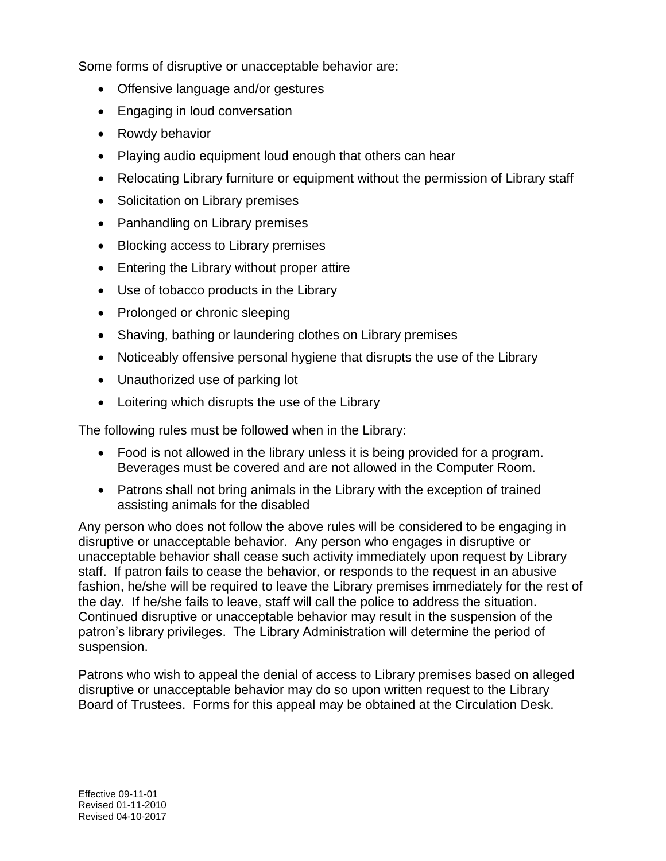Some forms of disruptive or unacceptable behavior are:

- Offensive language and/or gestures
- Engaging in loud conversation
- Rowdy behavior
- Playing audio equipment loud enough that others can hear
- Relocating Library furniture or equipment without the permission of Library staff
- Solicitation on Library premises
- Panhandling on Library premises
- Blocking access to Library premises
- Entering the Library without proper attire
- Use of tobacco products in the Library
- Prolonged or chronic sleeping
- Shaving, bathing or laundering clothes on Library premises
- Noticeably offensive personal hygiene that disrupts the use of the Library
- Unauthorized use of parking lot
- Loitering which disrupts the use of the Library

The following rules must be followed when in the Library:

- Food is not allowed in the library unless it is being provided for a program. Beverages must be covered and are not allowed in the Computer Room.
- Patrons shall not bring animals in the Library with the exception of trained assisting animals for the disabled

Any person who does not follow the above rules will be considered to be engaging in disruptive or unacceptable behavior. Any person who engages in disruptive or unacceptable behavior shall cease such activity immediately upon request by Library staff. If patron fails to cease the behavior, or responds to the request in an abusive fashion, he/she will be required to leave the Library premises immediately for the rest of the day. If he/she fails to leave, staff will call the police to address the situation. Continued disruptive or unacceptable behavior may result in the suspension of the patron's library privileges. The Library Administration will determine the period of suspension.

Patrons who wish to appeal the denial of access to Library premises based on alleged disruptive or unacceptable behavior may do so upon written request to the Library Board of Trustees. Forms for this appeal may be obtained at the Circulation Desk.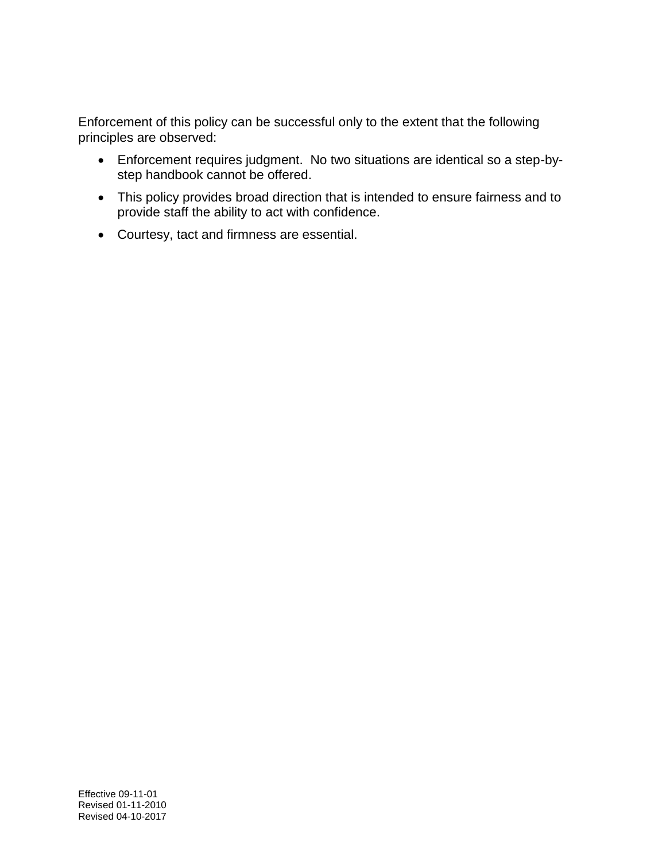Enforcement of this policy can be successful only to the extent that the following principles are observed:

- Enforcement requires judgment. No two situations are identical so a step-bystep handbook cannot be offered.
- This policy provides broad direction that is intended to ensure fairness and to provide staff the ability to act with confidence.
- Courtesy, tact and firmness are essential.